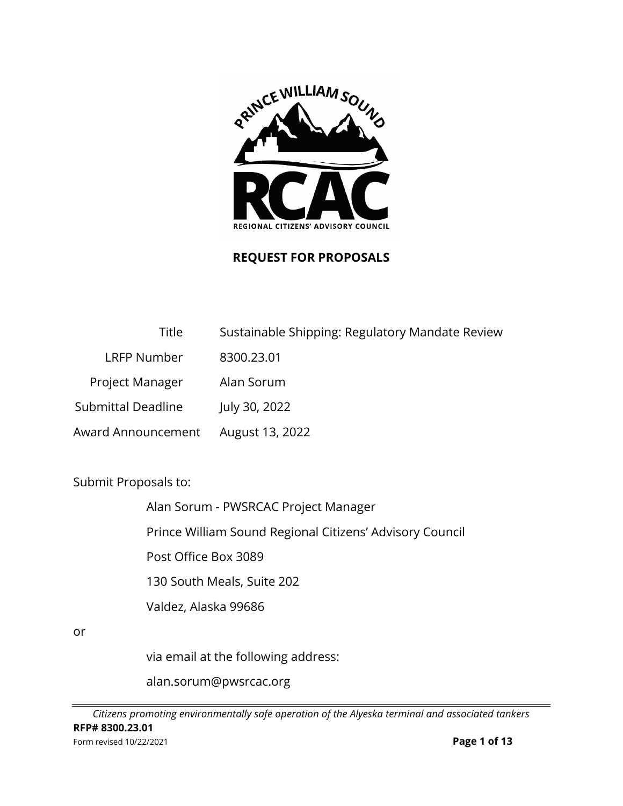

# **REQUEST FOR PROPOSALS**

| Title                     | Sustainable Shipping: Regulatory Mandate Review |
|---------------------------|-------------------------------------------------|
| <b>LRFP Number</b>        | 8300.23.01                                      |
| Project Manager           | Alan Sorum                                      |
| <b>Submittal Deadline</b> | July 30, 2022                                   |
| Award Announcement        | August 13, 2022                                 |

Submit Proposals to:

Alan Sorum - PWSRCAC Project Manager

Prince William Sound Regional Citizens' Advisory Council

Post Office Box 3089

130 South Meals, Suite 202

Valdez, Alaska 99686

or

via email at the following address:

alan.sorum@pwsrcac.org

*Citizens promoting environmentally safe operation of the Alyeska terminal and associated tankers* **RFP# 8300.23.01** Form revised 10/22/2021 **Page 1 of 13**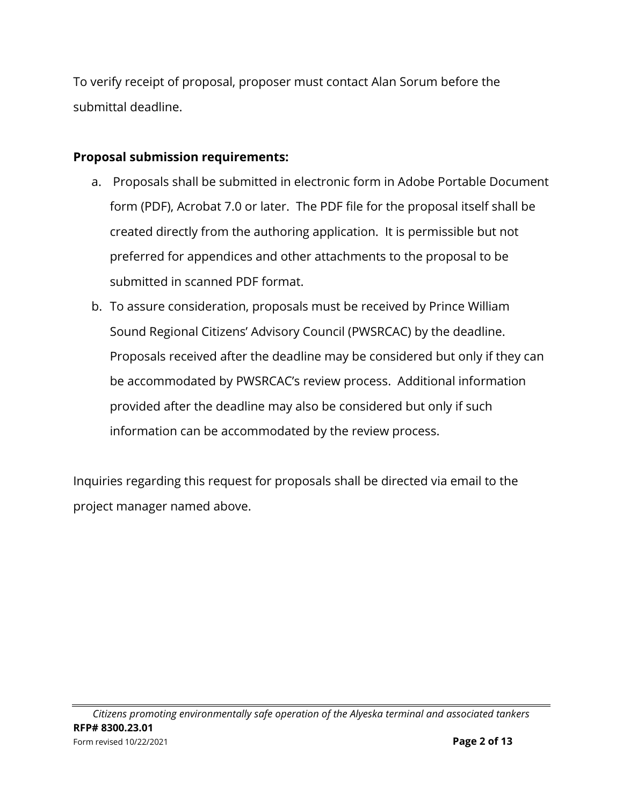To verify receipt of proposal, proposer must contact Alan Sorum before the submittal deadline.

#### **Proposal submission requirements:**

- a. Proposals shall be submitted in electronic form in Adobe Portable Document form (PDF), Acrobat 7.0 or later. The PDF file for the proposal itself shall be created directly from the authoring application. It is permissible but not preferred for appendices and other attachments to the proposal to be submitted in scanned PDF format.
- b. To assure consideration, proposals must be received by Prince William Sound Regional Citizens' Advisory Council (PWSRCAC) by the deadline. Proposals received after the deadline may be considered but only if they can be accommodated by PWSRCAC's review process. Additional information provided after the deadline may also be considered but only if such information can be accommodated by the review process.

Inquiries regarding this request for proposals shall be directed via email to the project manager named above.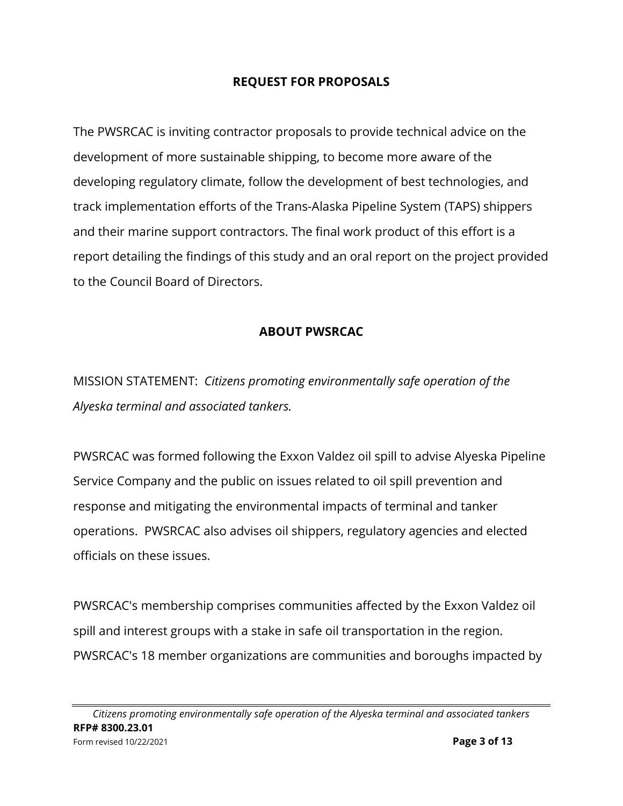#### **REQUEST FOR PROPOSALS**

The PWSRCAC is inviting contractor proposals to provide technical advice on the development of more sustainable shipping, to become more aware of the developing regulatory climate, follow the development of best technologies, and track implementation efforts of the Trans-Alaska Pipeline System (TAPS) shippers and their marine support contractors. The final work product of this effort is a report detailing the findings of this study and an oral report on the project provided to the Council Board of Directors.

#### **ABOUT PWSRCAC**

MISSION STATEMENT: *Citizens promoting environmentally safe operation of the Alyeska terminal and associated tankers.*

PWSRCAC was formed following the Exxon Valdez oil spill to advise Alyeska Pipeline Service Company and the public on issues related to oil spill prevention and response and mitigating the environmental impacts of terminal and tanker operations. PWSRCAC also advises oil shippers, regulatory agencies and elected officials on these issues.

PWSRCAC's membership comprises communities affected by the Exxon Valdez oil spill and interest groups with a stake in safe oil transportation in the region. PWSRCAC's 18 member organizations are communities and boroughs impacted by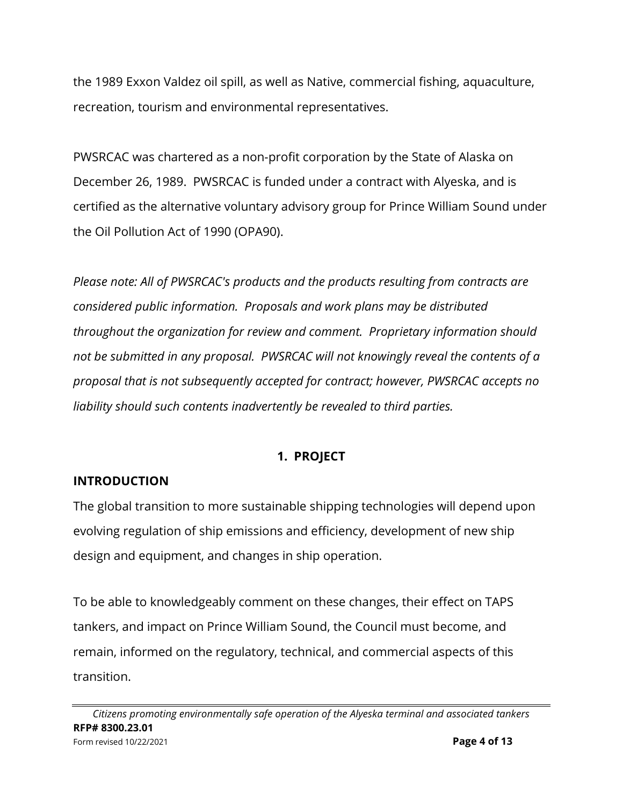the 1989 Exxon Valdez oil spill, as well as Native, commercial fishing, aquaculture, recreation, tourism and environmental representatives.

PWSRCAC was chartered as a non-profit corporation by the State of Alaska on December 26, 1989. PWSRCAC is funded under a contract with Alyeska, and is certified as the alternative voluntary advisory group for Prince William Sound under the Oil Pollution Act of 1990 (OPA90).

*Please note: All of PWSRCAC's products and the products resulting from contracts are considered public information. Proposals and work plans may be distributed throughout the organization for review and comment. Proprietary information should not be submitted in any proposal. PWSRCAC will not knowingly reveal the contents of a proposal that is not subsequently accepted for contract; however, PWSRCAC accepts no liability should such contents inadvertently be revealed to third parties.* 

# **1. PROJECT**

# **INTRODUCTION**

The global transition to more sustainable shipping technologies will depend upon evolving regulation of ship emissions and efficiency, development of new ship design and equipment, and changes in ship operation.

To be able to knowledgeably comment on these changes, their effect on TAPS tankers, and impact on Prince William Sound, the Council must become, and remain, informed on the regulatory, technical, and commercial aspects of this transition.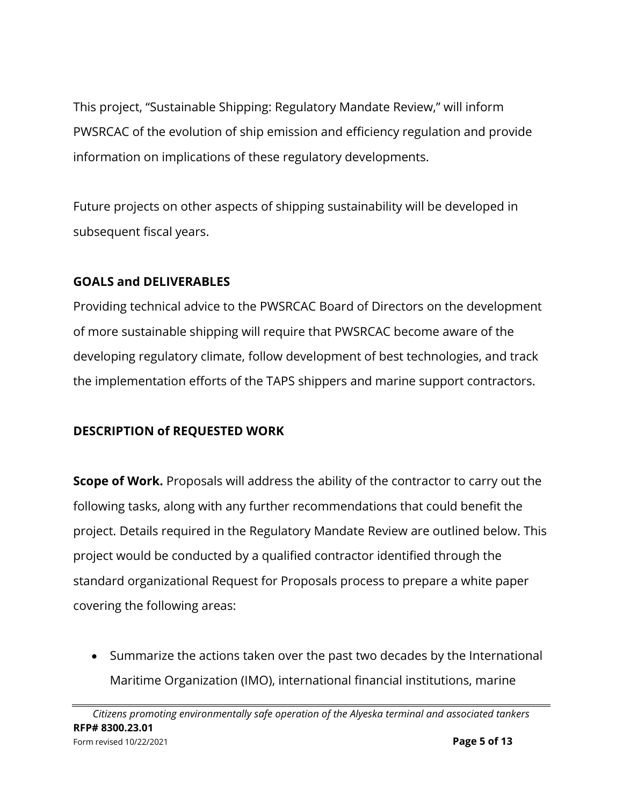This project, "Sustainable Shipping: Regulatory Mandate Review," will inform PWSRCAC of the evolution of ship emission and efficiency regulation and provide information on implications of these regulatory developments.

Future projects on other aspects of shipping sustainability will be developed in subsequent fiscal years.

#### **GOALS and DELIVERABLES**

Providing technical advice to the PWSRCAC Board of Directors on the development of more sustainable shipping will require that PWSRCAC become aware of the developing regulatory climate, follow development of best technologies, and track the implementation efforts of the TAPS shippers and marine support contractors.

# **DESCRIPTION of REQUESTED WORK**

**Scope of Work.** Proposals will address the ability of the contractor to carry out the following tasks, along with any further recommendations that could benefit the project. Details required in the Regulatory Mandate Review are outlined below. This project would be conducted by a qualified contractor identified through the standard organizational Request for Proposals process to prepare a white paper covering the following areas:

• Summarize the actions taken over the past two decades by the International Maritime Organization (IMO), international financial institutions, marine

*Citizens promoting environmentally safe operation of the Alyeska terminal and associated tankers* **RFP# 8300.23.01** Form revised 10/22/2021 **Page 5 of 13**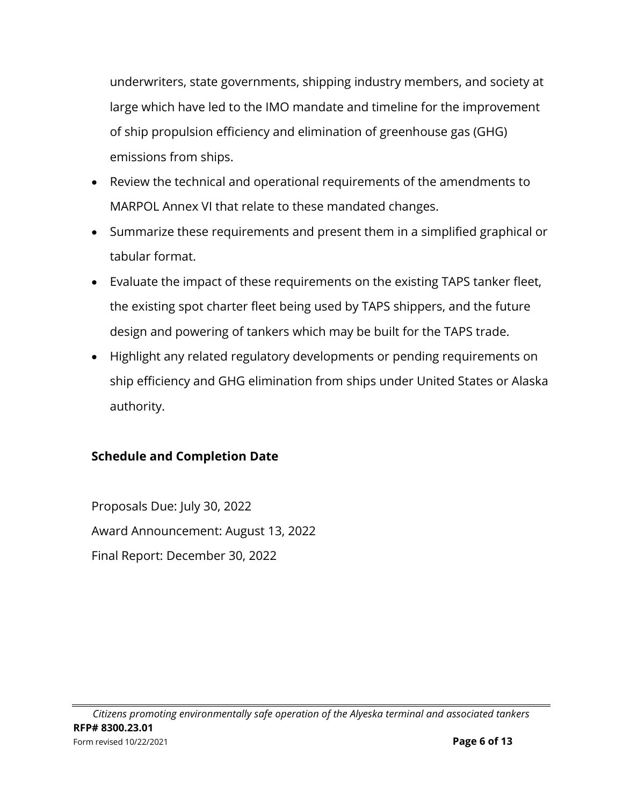underwriters, state governments, shipping industry members, and society at large which have led to the IMO mandate and timeline for the improvement of ship propulsion efficiency and elimination of greenhouse gas (GHG) emissions from ships.

- Review the technical and operational requirements of the amendments to MARPOL Annex VI that relate to these mandated changes.
- Summarize these requirements and present them in a simplified graphical or tabular format.
- Evaluate the impact of these requirements on the existing TAPS tanker fleet, the existing spot charter fleet being used by TAPS shippers, and the future design and powering of tankers which may be built for the TAPS trade.
- Highlight any related regulatory developments or pending requirements on ship efficiency and GHG elimination from ships under United States or Alaska authority.

# **Schedule and Completion Date**

Proposals Due: July 30, 2022 Award Announcement: August 13, 2022 Final Report: December 30, 2022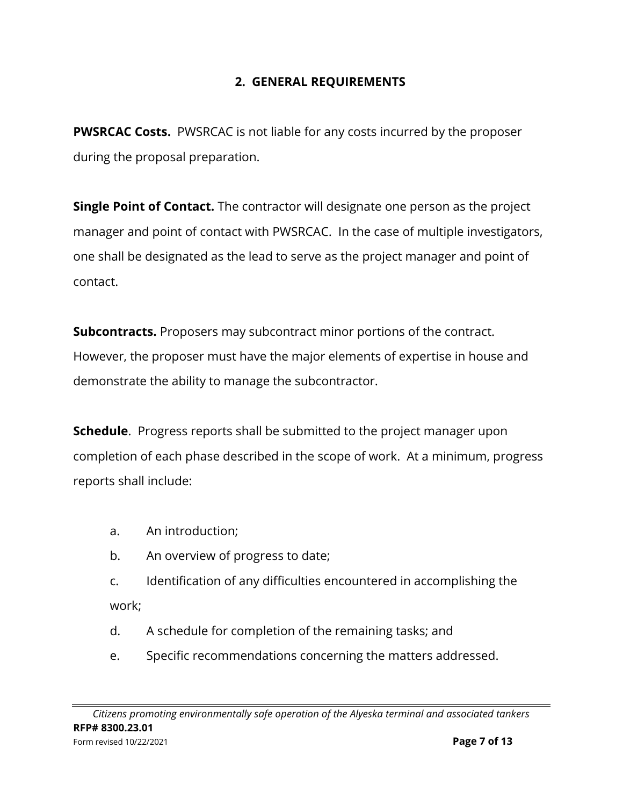#### **2. GENERAL REQUIREMENTS**

**PWSRCAC Costs.** PWSRCAC is not liable for any costs incurred by the proposer during the proposal preparation.

**Single Point of Contact.** The contractor will designate one person as the project manager and point of contact with PWSRCAC. In the case of multiple investigators, one shall be designated as the lead to serve as the project manager and point of contact.

**Subcontracts.** Proposers may subcontract minor portions of the contract. However, the proposer must have the major elements of expertise in house and demonstrate the ability to manage the subcontractor.

**Schedule**. Progress reports shall be submitted to the project manager upon completion of each phase described in the scope of work. At a minimum, progress reports shall include:

- a. An introduction;
- b. An overview of progress to date;
- c. Identification of any difficulties encountered in accomplishing the work;
- d. A schedule for completion of the remaining tasks; and
- e. Specific recommendations concerning the matters addressed.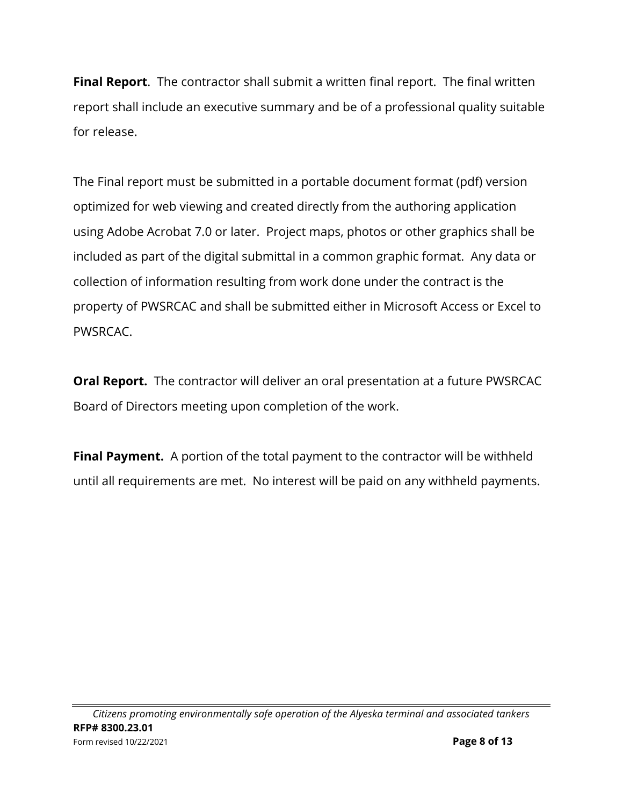**Final Report**. The contractor shall submit a written final report. The final written report shall include an executive summary and be of a professional quality suitable for release.

The Final report must be submitted in a portable document format (pdf) version optimized for web viewing and created directly from the authoring application using Adobe Acrobat 7.0 or later. Project maps, photos or other graphics shall be included as part of the digital submittal in a common graphic format. Any data or collection of information resulting from work done under the contract is the property of PWSRCAC and shall be submitted either in Microsoft Access or Excel to PWSRCAC.

**Oral Report.** The contractor will deliver an oral presentation at a future PWSRCAC Board of Directors meeting upon completion of the work.

**Final Payment.** A portion of the total payment to the contractor will be withheld until all requirements are met. No interest will be paid on any withheld payments.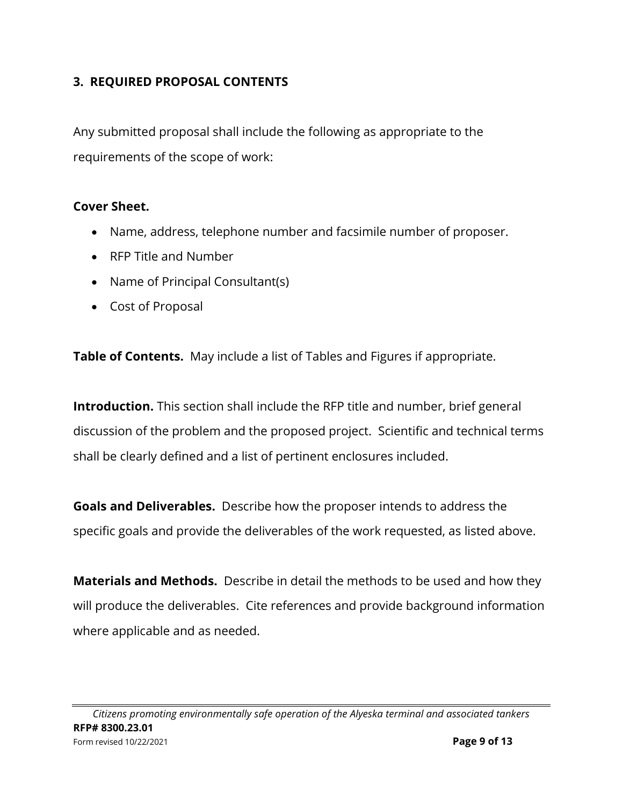#### **3. REQUIRED PROPOSAL CONTENTS**

Any submitted proposal shall include the following as appropriate to the requirements of the scope of work:

#### **Cover Sheet.**

- Name, address, telephone number and facsimile number of proposer.
- RFP Title and Number
- Name of Principal Consultant(s)
- Cost of Proposal

**Table of Contents.** May include a list of Tables and Figures if appropriate.

**Introduction.** This section shall include the RFP title and number, brief general discussion of the problem and the proposed project. Scientific and technical terms shall be clearly defined and a list of pertinent enclosures included.

**Goals and Deliverables.** Describe how the proposer intends to address the specific goals and provide the deliverables of the work requested, as listed above.

**Materials and Methods.** Describe in detail the methods to be used and how they will produce the deliverables. Cite references and provide background information where applicable and as needed.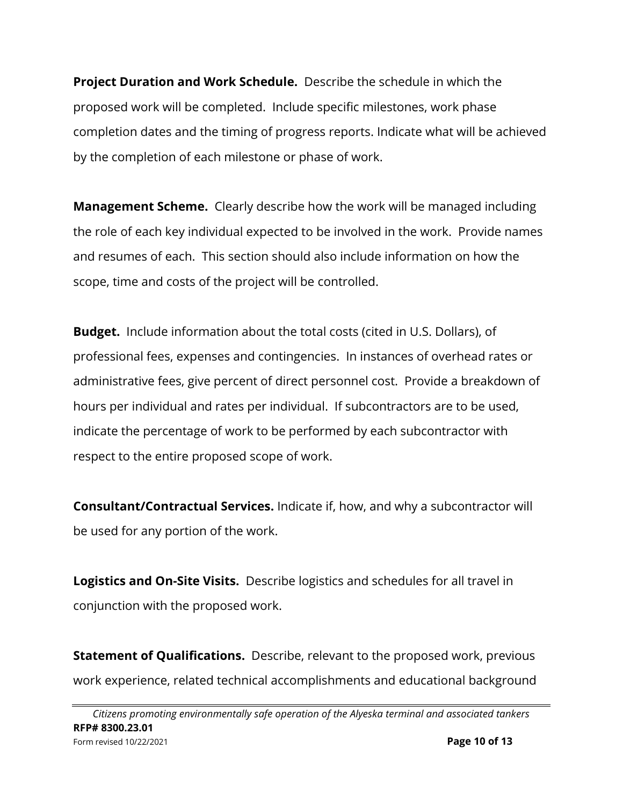**Project Duration and Work Schedule.** Describe the schedule in which the proposed work will be completed. Include specific milestones, work phase completion dates and the timing of progress reports. Indicate what will be achieved by the completion of each milestone or phase of work.

**Management Scheme.** Clearly describe how the work will be managed including the role of each key individual expected to be involved in the work. Provide names and resumes of each. This section should also include information on how the scope, time and costs of the project will be controlled.

**Budget.** Include information about the total costs (cited in U.S. Dollars), of professional fees, expenses and contingencies. In instances of overhead rates or administrative fees, give percent of direct personnel cost. Provide a breakdown of hours per individual and rates per individual. If subcontractors are to be used, indicate the percentage of work to be performed by each subcontractor with respect to the entire proposed scope of work.

**Consultant/Contractual Services.** Indicate if, how, and why a subcontractor will be used for any portion of the work.

**Logistics and On-Site Visits.** Describe logistics and schedules for all travel in conjunction with the proposed work.

**Statement of Qualifications.** Describe, relevant to the proposed work, previous work experience, related technical accomplishments and educational background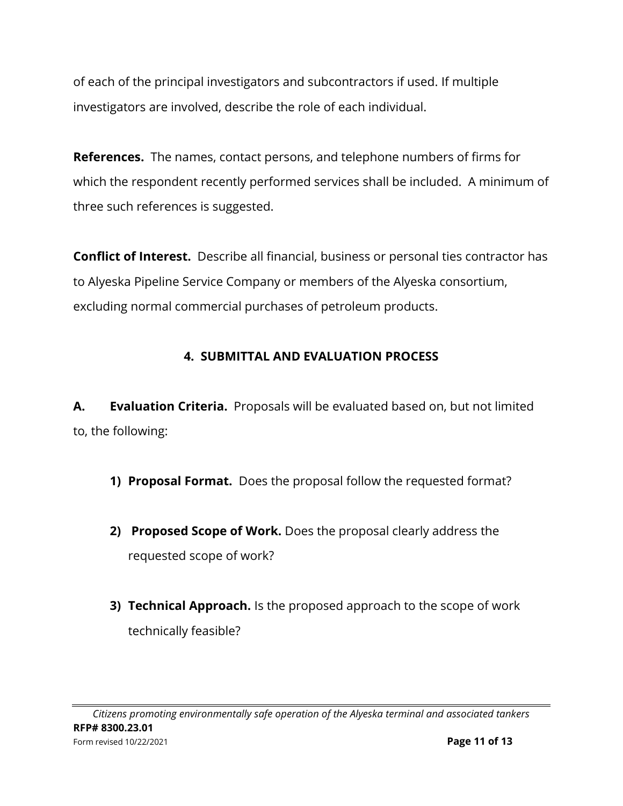of each of the principal investigators and subcontractors if used. If multiple investigators are involved, describe the role of each individual.

**References.** The names, contact persons, and telephone numbers of firms for which the respondent recently performed services shall be included. A minimum of three such references is suggested.

**Conflict of Interest.** Describe all financial, business or personal ties contractor has to Alyeska Pipeline Service Company or members of the Alyeska consortium, excluding normal commercial purchases of petroleum products.

# **4. SUBMITTAL AND EVALUATION PROCESS**

**A. Evaluation Criteria.** Proposals will be evaluated based on, but not limited to, the following:

- **1) Proposal Format.** Does the proposal follow the requested format?
- **2) Proposed Scope of Work.** Does the proposal clearly address the requested scope of work?
- **3) Technical Approach.** Is the proposed approach to the scope of work technically feasible?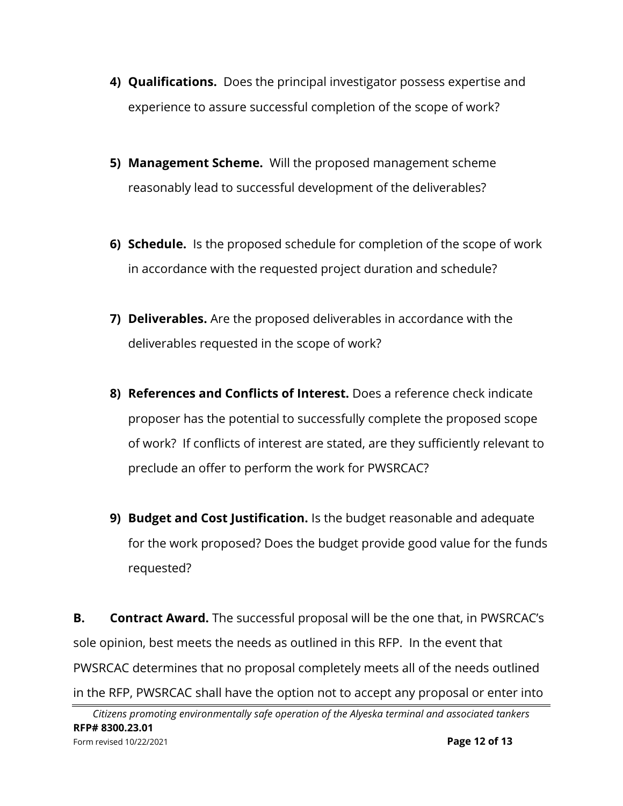- **4) Qualifications.** Does the principal investigator possess expertise and experience to assure successful completion of the scope of work?
- **5) Management Scheme.** Will the proposed management scheme reasonably lead to successful development of the deliverables?
- **6) Schedule.** Is the proposed schedule for completion of the scope of work in accordance with the requested project duration and schedule?
- **7) Deliverables.** Are the proposed deliverables in accordance with the deliverables requested in the scope of work?
- **8) References and Conflicts of Interest.** Does a reference check indicate proposer has the potential to successfully complete the proposed scope of work? If conflicts of interest are stated, are they sufficiently relevant to preclude an offer to perform the work for PWSRCAC?
- **9) Budget and Cost Justification.** Is the budget reasonable and adequate for the work proposed? Does the budget provide good value for the funds requested?

**B. Contract Award.** The successful proposal will be the one that, in PWSRCAC's sole opinion, best meets the needs as outlined in this RFP. In the event that PWSRCAC determines that no proposal completely meets all of the needs outlined in the RFP, PWSRCAC shall have the option not to accept any proposal or enter into